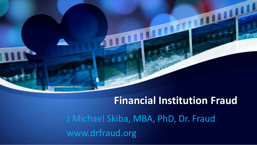

### **Financial Institution Fraud**

J Michael Skiba, MBA, PhD, Dr. Fraud www.drfraud.org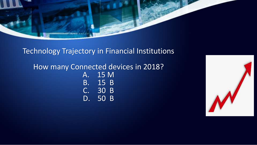Technology Trajectory in Financial Institutions

How many Connected devices in 2018? A. 15 M B. 15 B C. 30 B D. 50 B

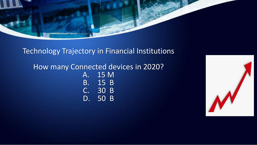Technology Trajectory in Financial Institutions

How many Connected devices in 2020? A. 15 M B. 15 B C. 30 B D. 50 B

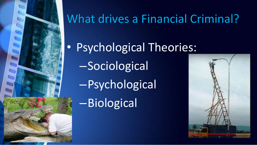

## What drives a Financial Criminal?

• Psychological Theories: –Sociological –Psychological –Biological

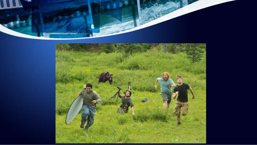

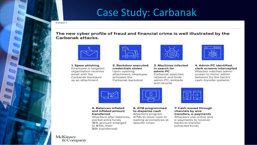### **Case Study: Carbanak**

Exhibit 1

The new cyber profile of fraud and financial crime is well illustrated by the Carbanak attacks.



1. Spear phishing Employee in targeted organization receives email with the Carbanak backdoor as an attachment



2. Backdoor executed: credentials stolen Upon opening attachment, employee activates the Carbanak backdoor



3. Machines infected in search for admin PC Carbanak searches network and finds admin PC: embeds and records



4. Admin PC identified. clerk screens intercepted

Attacker watches admin screen to mimic admin behavior for the bank's cash-transfer systems



5. Balances inflated and inflated amount transferred

Attackers alter balances. pocket extra funds (\$1k account enlarged to \$10k, then \$9k transferred)



6. ATM programmed to dispense cash

Attackers program ATMs to issue cash to waiting accomplices at specific times



7. Cash moved through channels by wire transfers, e-payments Attackers use online and e-payments to receiver banks to transfer extracted funds

McKinsey & Company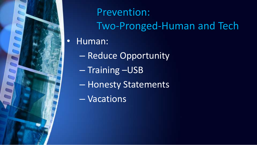

# Prevention: Two-Pronged-Human and Tech

• Human:

– Reduce Opportunity

– Training –USB

– Honesty Statements

– Vacations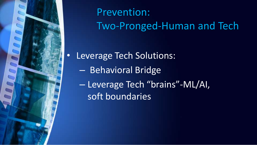

Prevention: Two-Pronged-Human and Tech

• Leverage Tech Solutions: – Behavioral Bridge – Leverage Tech "brains"-ML/AI, soft boundaries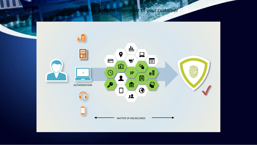#### igital fingerprint of your customer

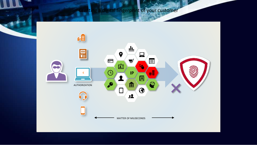#### gital fingerprint of your customer

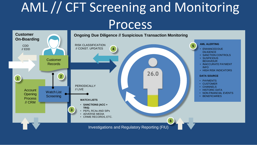# AML // CFT Screening and Monitoring Process

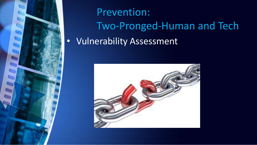

# Prevention: Two-Pronged-Human and Tech

• Vulnerability Assessment

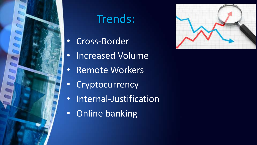

## Trends:

- Cross-Border
- Increased Volume
- Remote Workers
- Cryptocurrency
- Internal-Justification
- Online banking